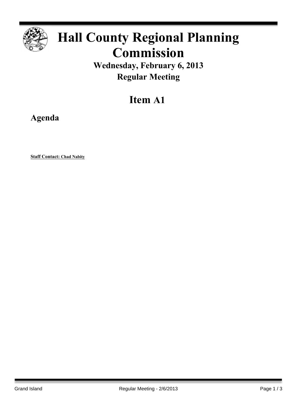

# **Hall County Regional Planning Commission**

**Wednesday, February 6, 2013 Regular Meeting**

# **Item A1**

**Agenda**

**Staff Contact: Chad Nabity**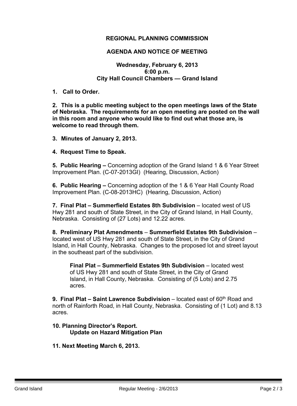# **REGIONAL PLANNING COMMISSION**

# **AGENDA AND NOTICE OF MEETING**

# **Wednesday, February 6, 2013 6:00 p.m. City Hall Council Chambers — Grand Island**

#### **1. Call to Order.**

**2. This is a public meeting subject to the open meetings laws of the State of Nebraska. The requirements for an open meeting are posted on the wall in this room and anyone who would like to find out what those are, is welcome to read through them.**

#### **3. Minutes of January 2, 2013.**

#### **4. Request Time to Speak.**

**5. Public Hearing –** Concerning adoption of the Grand Island 1 & 6 Year Street Improvement Plan. (C-07-2013GI) (Hearing, Discussion, Action)

**6. Public Hearing –** Concerning adoption of the 1 & 6 Year Hall County Road Improvement Plan. (C-08-2013HC) (Hearing, Discussion, Action)

**7. Final Plat – Summerfield Estates 8th Subdivision** – located west of US Hwy 281 and south of State Street, in the City of Grand Island, in Hall County, Nebraska. Consisting of (27 Lots) and 12.22 acres.

**8. Preliminary Plat Amendments** – **Summerfield Estates 9th Subdivision** – located west of US Hwy 281 and south of State Street, in the City of Grand Island, in Hall County, Nebraska. Changes to the proposed lot and street layout in the southeast part of the subdivision.

**Final Plat – Summerfield Estates 9th Subdivision** – located west of US Hwy 281 and south of State Street, in the City of Grand Island, in Hall County, Nebraska. Consisting of (5 Lots) and 2.75 acres.

**9. Final Plat – Saint Lawrence Subdivision** – located east of 60th Road and north of Rainforth Road, in Hall County, Nebraska. Consisting of (1 Lot) and 8.13 acres.

# **10. Planning Director's Report. Update on Hazard Mitigation Plan**

#### **11. Next Meeting March 6, 2013.**